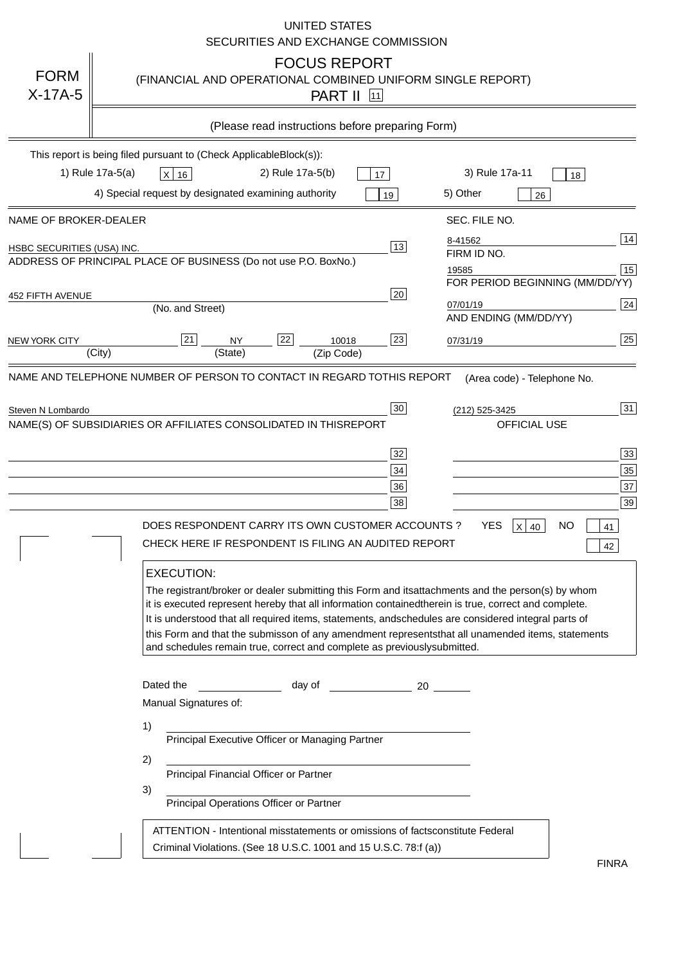|                                   | <b>UNITED STATES</b><br>SECURITIES AND EXCHANGE COMMISSION                                                                                                                                                                                                                                                                                                                                                                                                                                                                                                                                                                                                                                                                                                                                                                                                               |
|-----------------------------------|--------------------------------------------------------------------------------------------------------------------------------------------------------------------------------------------------------------------------------------------------------------------------------------------------------------------------------------------------------------------------------------------------------------------------------------------------------------------------------------------------------------------------------------------------------------------------------------------------------------------------------------------------------------------------------------------------------------------------------------------------------------------------------------------------------------------------------------------------------------------------|
| <b>FORM</b><br>$X-17A-5$          | <b>FOCUS REPORT</b><br>(FINANCIAL AND OPERATIONAL COMBINED UNIFORM SINGLE REPORT)<br><b>PART II</b> 11                                                                                                                                                                                                                                                                                                                                                                                                                                                                                                                                                                                                                                                                                                                                                                   |
|                                   | (Please read instructions before preparing Form)                                                                                                                                                                                                                                                                                                                                                                                                                                                                                                                                                                                                                                                                                                                                                                                                                         |
|                                   | This report is being filed pursuant to (Check Applicable<br>$Block(s)$ :<br>3) Rule 17a-11<br>1) Rule 17a-5(a)<br>2) Rule 17a-5(b)<br>$X$ 16<br>17<br>18<br>4) Special request by designated examining authority<br>5) Other<br>19<br>26                                                                                                                                                                                                                                                                                                                                                                                                                                                                                                                                                                                                                                 |
| NAME OF BROKER-DEALER             | SEC. FILE NO.                                                                                                                                                                                                                                                                                                                                                                                                                                                                                                                                                                                                                                                                                                                                                                                                                                                            |
| <b>HSBC SECURITIES (USA) INC.</b> | 14<br>8-41562<br>13<br>FIRM ID NO.<br>ADDRESS OF PRINCIPAL PLACE OF BUSINESS (Do not use P.O. Box<br>No.)<br>15<br>19585<br>FOR PERIOD BEGINNING (MM/DD/YY)                                                                                                                                                                                                                                                                                                                                                                                                                                                                                                                                                                                                                                                                                                              |
| <b>452 FIFTH AVENUE</b>           | 20<br>24<br>07/01/19<br>(No. and Street)<br>AND ENDING (MM/DD/YY)                                                                                                                                                                                                                                                                                                                                                                                                                                                                                                                                                                                                                                                                                                                                                                                                        |
| <b>NEW YORK CITY</b>              | 25<br>22<br>21<br>23<br><b>NY</b><br>10018<br>07/31/19<br>(City)<br>(State)<br>(Zip Code)                                                                                                                                                                                                                                                                                                                                                                                                                                                                                                                                                                                                                                                                                                                                                                                |
|                                   | NAME(S) OF SUBSIDIARIES OR AFFILIATES CONSOLIDATED IN THIS<br><b>REPORT</b><br><b>OFFICIAL USE</b><br>$\overline{33}$<br>32<br>35<br>34<br>37<br>36<br>39<br>38<br>DOES RESPONDENT CARRY ITS OWN CUSTOMER ACCOUNTS?<br><b>YES</b><br>$X$ 40<br><b>NO</b><br>41<br>CHECK HERE IF RESPONDENT IS FILING AN AUDITED REPORT<br>42<br><b>EXECUTION:</b><br>The registrant/broker or dealer submitting this Form and its<br>attachments and the person(s) by whom<br>it is executed represent hereby that all information contained<br>therein is true, correct and complete.<br>It is understood that all required items, statements, and<br>schedules are considered integral parts of<br>this Form and that the submisson of any amendment represents<br>that all unamended items, statements<br>and schedules remain true, correct and complete as previously<br>submitted. |
|                                   | Dated the<br>day of<br>20<br>Manual Signatures of:<br>1)<br>Principal Executive Officer or Managing Partner<br>2)<br>Principal Financial Officer or Partner<br>3)<br>Principal Operations Officer or Partner                                                                                                                                                                                                                                                                                                                                                                                                                                                                                                                                                                                                                                                             |
|                                   | ATTENTION - Intentional misstatements or omissions of facts<br>constitute Federal<br>Criminal Violations. (See 18 U.S.C. 1001 and 15 U.S.C. 78:f (a)<br>$\lambda$<br><b>FINRA</b>                                                                                                                                                                                                                                                                                                                                                                                                                                                                                                                                                                                                                                                                                        |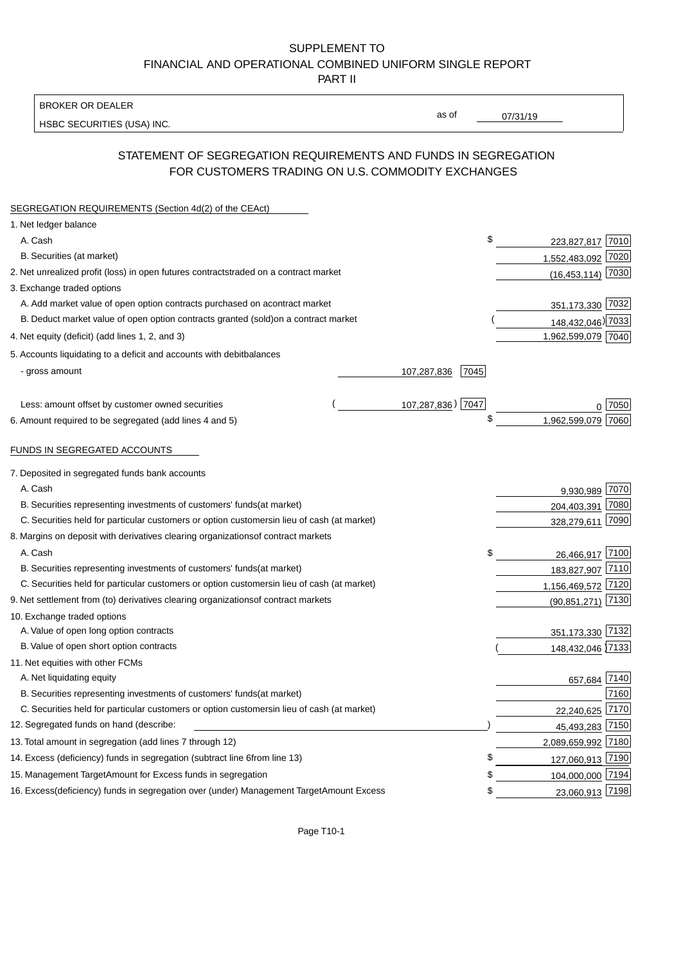BROKER OR DEALER

HSBC SECURITIES (USA) INC.

 $07/31/19$ 

as of

## STATEMENT OF SEGREGATION REQUIREMENTS AND FUNDS IN SEGREGATION FOR CUSTOMERS TRADING ON U.S. COMMODITY EXCHANGES

| SEGREGATION REQUIREMENTS (Section 4d(2) of the CEAct)                                          |                     |                       |         |
|------------------------------------------------------------------------------------------------|---------------------|-----------------------|---------|
| 1. Net ledger balance                                                                          |                     |                       |         |
| A. Cash                                                                                        | \$                  | 223,827,817 7010      |         |
| B. Securities (at market)                                                                      |                     | 1,552,483,092 7020    |         |
| 2. Net unrealized profit (loss) in open futures contracts<br>traded on a contract market       |                     | $(16, 453, 114)$ 7030 |         |
| 3. Exchange traded options                                                                     |                     |                       |         |
| A. Add market value of open option contracts purchased on a<br>contract market                 |                     | 351,173,330 7032      |         |
| B. Deduct market value of open option contracts granted (sold)<br>on a contract market         |                     | 148,432,046) 7033     |         |
| 4. Net equity (deficit) (add lines 1, 2, and 3)                                                |                     | 1,962,599,079 7040    |         |
| 5. Accounts liquidating to a deficit and accounts with debit<br>balances                       |                     |                       |         |
| - gross amount                                                                                 | 7045<br>107,287,836 |                       |         |
|                                                                                                |                     |                       |         |
| Less: amount offset by customer owned securities                                               | 107,287,836) 7047   |                       | ი  7050 |
| 6. Amount required to be segregated (add lines 4 and 5)                                        | \$                  | 1,962,599,079 7060    |         |
|                                                                                                |                     |                       |         |
| FUNDS IN SEGREGATED ACCOUNTS                                                                   |                     |                       |         |
| 7. Deposited in segregated funds bank accounts                                                 |                     |                       |         |
| A. Cash                                                                                        |                     | 9,930,989 7070        |         |
| B. Securities representing investments of customers' funds<br>(at market)                      |                     | 204,403,391           | 7080    |
| C. Securities held for particular customers or option customers<br>in lieu of cash (at market) |                     | 328,279,611           | 7090    |
| 8. Margins on deposit with derivatives clearing organizations<br>of contract markets           |                     |                       |         |
| A. Cash                                                                                        | \$                  | 26,466,917 7100       |         |
| B. Securities representing investments of customers' funds<br>(at market)                      |                     | 183,827,907 7110      |         |
| C. Securities held for particular customers or option customers<br>in lieu of cash (at market) |                     | 1,156,469,572 7120    |         |
| 9. Net settlement from (to) derivatives clearing organizations<br>of contract markets          |                     | $(90, 851, 271)$ 7130 |         |
| 10. Exchange traded options                                                                    |                     |                       |         |
| A. Value of open long option contracts                                                         |                     | 351,173,330 7132      |         |
| B. Value of open short option contracts                                                        |                     | 148,432,046 7133      |         |
| 11. Net equities with other FCMs                                                               |                     |                       |         |
| A. Net liquidating equity                                                                      |                     | 657,684 7140          |         |
| B. Securities representing investments of customers' funds<br>(at market)                      |                     |                       | 7160    |
| C. Securities held for particular customers or option customers<br>in lieu of cash (at market) |                     | 22,240,625            | 7170    |
| 12. Segregated funds on hand (describe:                                                        |                     | 45,493,283 7150       |         |
| 13. Total amount in segregation (add lines 7 through 12)                                       |                     | 2,089,659,992 7180    |         |
| 14. Excess (deficiency) funds in segregation (subtract line 6 from line 13)                    | \$                  | 127,060,913 7190      |         |
| 15. Management Target Amount for Excess funds in segregation                                   | \$                  | 104,000,000 7194      |         |
| 16. Excess (deficiency) funds in segregation over (under) Management Target Amount Excess      | \$                  | 23,060,913 7198       |         |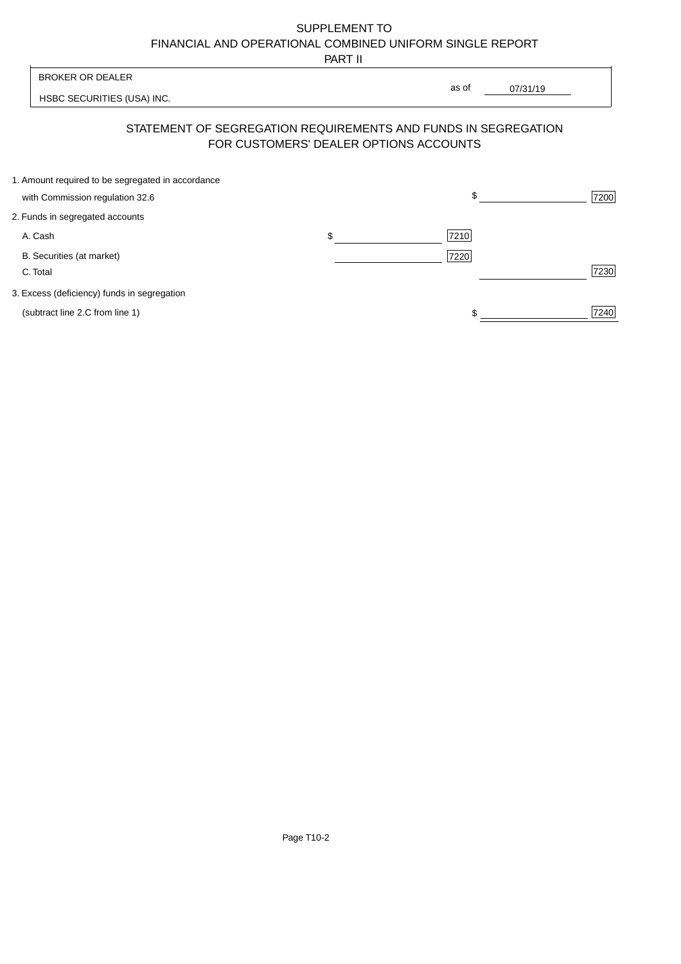PART II

| BROKER OR DEALER                                                                                         | as of |          |      |
|----------------------------------------------------------------------------------------------------------|-------|----------|------|
| HSBC SECURITIES (USA) INC.                                                                               |       | 07/31/19 |      |
| STATEMENT OF SEGREGATION REQUIREMENTS AND FUNDS IN SEGREGATION<br>FOR CUSTOMERS' DEALER OPTIONS ACCOUNTS |       |          |      |
| 1. Amount required to be segregated in accordance                                                        |       |          |      |
| with Commission regulation 32.6                                                                          | \$.   |          | 7200 |
| 2. Funds in segregated accounts                                                                          |       |          |      |
|                                                                                                          |       |          |      |

A. Cash 7210 \$

B. Securities (at market) 7220

C. Total 7230

3. Excess (deficiency) funds in segregation

(subtract line 2.C from line 1)  $\frac{1}{240}$  $$\frac{1}{2}$$ 

 $\overline{\phantom{a}}$ 

Page T10-2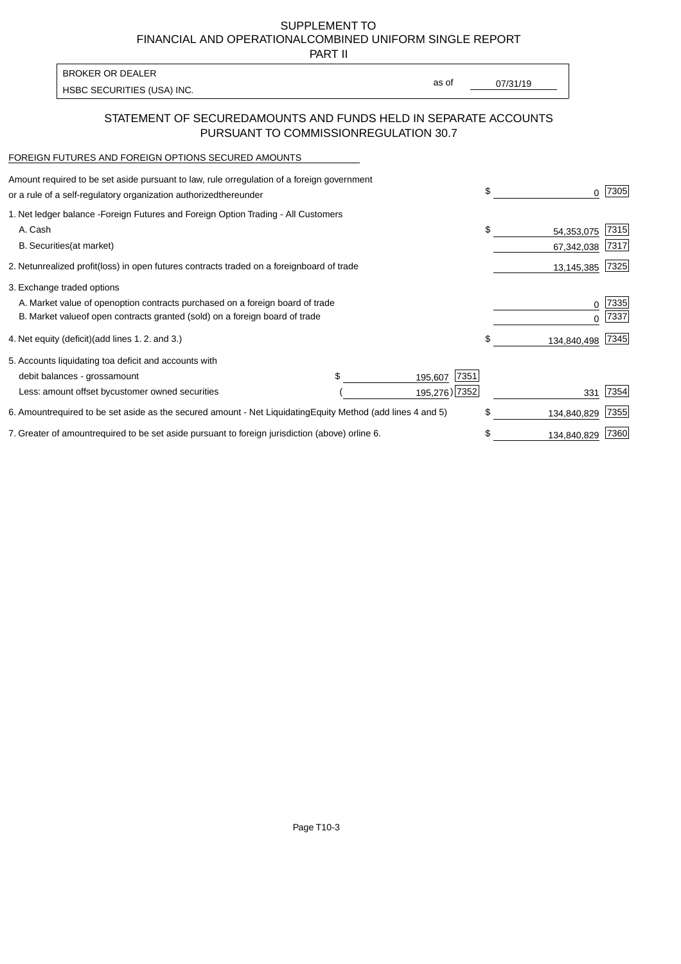PART II

as of

HSBC SECURITIES (USA) INC. The state of the second second in the second second second in the second second second second second second second second second second second second second second second second second second sec

### STATEMENT OF SECURED AMOUNTS AND FUNDS HELD IN SEPARATE ACCOUNTS PURSUANT TO COMMISSION REGULATION 30.7

#### FOREIGN FUTURES AND FOREIGN OPTIONS SECURED AMOUNTS

BROKER OR DEALER

| Amount required to be set aside pursuant to law, rule or<br>regulation of a foreign government<br>or a rule of a self-regulatory organization authorized<br>thereunder | \$<br>O.                 | 7305          |
|------------------------------------------------------------------------------------------------------------------------------------------------------------------------|--------------------------|---------------|
| 1. Net ledger balance - Foreign Futures and Foreign Option Trading - All Customers<br>A. Cash                                                                          | \$<br>54,353,075         | 7315          |
| <b>B.</b> Securities<br>(at market)<br>2. Net unrealized profit (loss) in open futures contracts traded on a foreign<br>board of trade                                 | 67,342,038<br>13,145,385 | 7317 <br>7325 |
| 3. Exchange traded options                                                                                                                                             |                          |               |
| A. Market value of open option contracts purchased on a foreign board of trade<br>B. Market value of open contracts granted (sold) on a foreign board of trade         | 0<br><sup>0</sup>        | 7335<br>7337  |
| 4. Net equity (deficit) (add lines 1.2. and 3.)                                                                                                                        | \$<br>134,840,498        | 7345          |
| 5. Accounts liquidating to a deficit and accounts with                                                                                                                 |                          |               |
| \$.<br>7351<br>debit balances - gross<br>amount<br>195,607                                                                                                             |                          |               |
| 195,276) 7352<br>Less: amount offset by customer owned securities                                                                                                      | 331                      | 7354          |
| 6. Amount required to be set aside as the secured amount - Net Liquidating<br>Equity Method (add lines 4 and 5)                                                        | \$<br>134,840,829        | 7355          |
| 7. Greater of amount required to be set aside pursuant to foreign jurisdiction (above) or<br>line 6.                                                                   | \$<br>134,840,829        | 7360          |

Page T10-3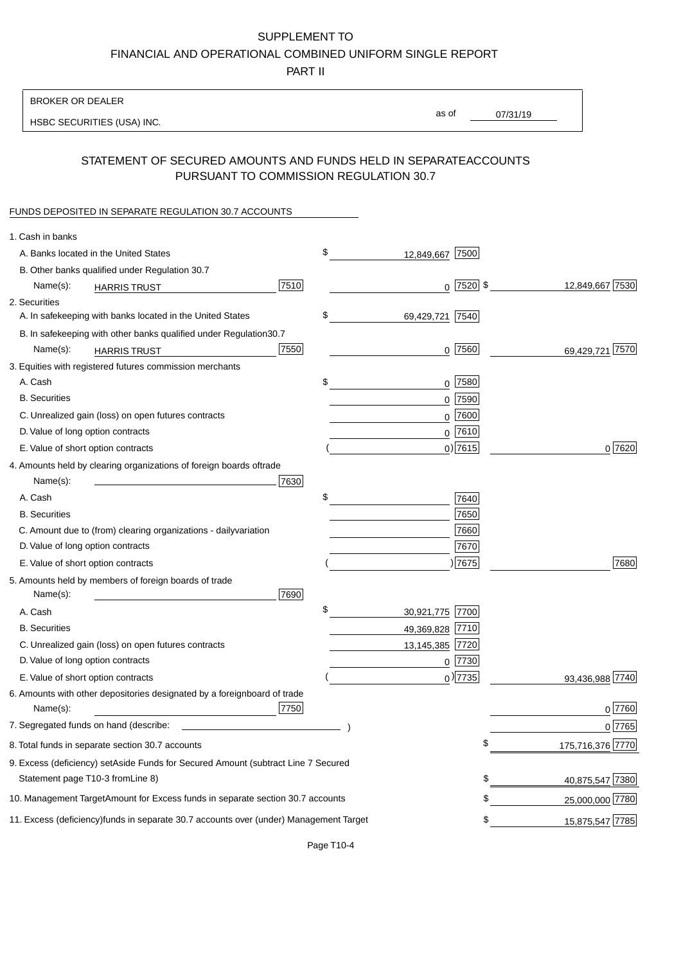PART II

| <b>BROKER OR DEALER</b>                                                                           |                       |                 |                 |                    |
|---------------------------------------------------------------------------------------------------|-----------------------|-----------------|-----------------|--------------------|
| HSBC SECURITIES (USA) INC.                                                                        | as of                 |                 | 07/31/19        |                    |
|                                                                                                   |                       |                 |                 |                    |
| STATEMENT OF SECURED AMOUNTS AND FUNDS HELD IN SEPARATE<br>PURSUANT TO COMMISSION REGULATION 30.7 |                       |                 | <b>ACCOUNTS</b> |                    |
| FUNDS DEPOSITED IN SEPARATE REGULATION 30.7 ACCOUNTS                                              |                       |                 |                 |                    |
| 1. Cash in banks                                                                                  |                       |                 |                 |                    |
| A. Banks located in the United States                                                             | \$<br>12,849,667 7500 |                 |                 |                    |
| B. Other banks qualified under Regulation 30.7                                                    |                       |                 |                 |                    |
| 7510<br>Name(s):<br><b>HARRIS TRUST</b>                                                           |                       | $0$   7520   \$ |                 | 12,849,667 7530    |
| 2. Securities                                                                                     |                       |                 |                 |                    |
| A. In safekeeping with banks located in the United States                                         | \$<br>69,429,721      | 7540            |                 |                    |
| B. In safekeeping with other banks qualified under Regulation<br>30.7                             |                       |                 |                 |                    |
| 7550<br>Name(s):<br><b>HARRIS TRUST</b>                                                           |                       | $0$ 7560        |                 | 7570<br>69.429.721 |
| 3. Equities with registered futures commission merchants                                          |                       |                 |                 |                    |
| A. Cash                                                                                           | \$                    | $0$ 7580        |                 |                    |
| <b>B.</b> Securities                                                                              |                       | $0$ 7590        |                 |                    |
| C. Unrealized gain (loss) on open futures contracts                                               |                       | $0$ 7600        |                 |                    |
| D. Value of long option contracts                                                                 |                       | $0$ 7610        |                 |                    |
| E. Value of short option contracts                                                                |                       | $0$ ) 7615      |                 | 0 7620             |
| 4. Amounts held by clearing organizations of foreign boards of<br>trade                           |                       |                 |                 |                    |
| Name(s):<br>7630                                                                                  |                       |                 |                 |                    |
| A. Cash                                                                                           | \$                    | 7640            |                 |                    |
| <b>B.</b> Securities                                                                              |                       | 7650            |                 |                    |
| C. Amount due to (from) clearing organizations - daily<br>variation                               |                       | 7660            |                 |                    |
| D. Value of long option contracts                                                                 |                       | 7670            |                 |                    |
| E. Value of short option contracts                                                                |                       | )7675           |                 | 7680               |
| 5. Amounts held by members of foreign boards of trade<br>Name(s):<br>7690                         |                       |                 |                 |                    |
| A. Cash                                                                                           | \$<br>30,921,775 7700 |                 |                 |                    |
| <b>B.</b> Securities                                                                              | 49,369,828 7710       |                 |                 |                    |
| C. Unrealized gain (loss) on open futures contracts                                               | 13,145,385 7720       |                 |                 |                    |
| D. Value of long option contracts                                                                 |                       | $0$  7730       |                 |                    |
| E. Value of short option contracts                                                                |                       | $_0$ ) 7735     |                 | 93,436,988 7740    |
| 6. Amounts with other depositories designated by a foreign<br>board of trade<br>7750<br>Name(s):  |                       |                 |                 | 0 7760             |
| 7. Segregated funds on hand (describe:                                                            |                       |                 |                 | 0 7765             |
| 8. Total funds in separate section 30.7 accounts                                                  |                       | \$              |                 | 175,716,376 7770   |
| 9. Excess (deficiency) set Aside Funds for Secured Amount (subtract Line 7 Secured                |                       |                 |                 |                    |
| Statement page T10-3 from Line 8)                                                                 |                       | \$              |                 | 40,875,547 7380    |
| 10. Management Target Amount for Excess funds in separate section 30.7 accounts                   |                       | \$              |                 | 25,000,000 7780    |
|                                                                                                   |                       |                 |                 |                    |
| 11. Excess (deficiency) funds in separate 30.7 accounts over (under) Management Target            |                       | \$              |                 | 15,875,547 7785    |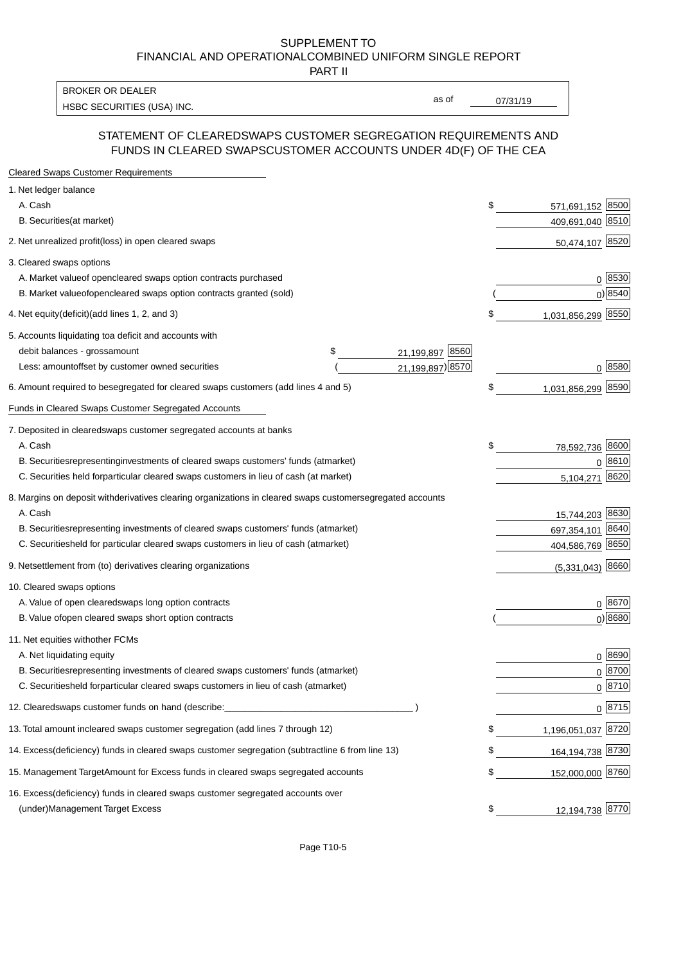PART II

HSBC SECURITIES (USA) INC. The contract of the contract of the contract of the contract of the contract of the contract of the contract of the contract of the contract of the contract of the contract of the contract of the BROKER OR DEALER

as of

#### STATEMENT OF CLEARED SWAPS CUSTOMER SEGREGATION REQUIREMENTS AND FUNDS IN CLEARED SWAPS CUSTOMER ACCOUNTS UNDER 4D(F) OF THE CEA

| <b>Cleared Swaps Customer Requirements</b>                                                                  |    |                     |
|-------------------------------------------------------------------------------------------------------------|----|---------------------|
| 1. Net ledger balance                                                                                       |    |                     |
| A. Cash                                                                                                     | \$ | 571,691,152 8500    |
| B. Securities (at market)                                                                                   |    | 409,691,040 8510    |
| 2. Net unrealized profit (loss) in open cleared swaps                                                       |    | 50,474,107 8520     |
| 3. Cleared swaps options                                                                                    |    |                     |
| A. Market value of open cleared swaps option contracts purchased                                            |    | 0   8530            |
| B. Market value of open cleared swaps option contracts granted (sold)                                       |    | $0)$ 8540           |
| 4. Net equity (deficit) (add lines 1, 2, and 3)                                                             | \$ | 1,031,856,299 8550  |
| 5. Accounts liquidating to a deficit and accounts with                                                      |    |                     |
| 21,199,897 8560<br>debit balances - gross<br>\$<br>amount                                                   |    |                     |
| 21,199,897) 8570<br>Less: amount offset by customer owned securities                                        |    | 0 8580              |
| 6. Amount required to be segregated for cleared swaps customers (add lines 4 and 5)                         | S  | 1,031,856,299 8590  |
| Funds in Cleared Swaps Customer Segregated Accounts                                                         |    |                     |
| 7. Deposited in cleared swaps customer segregated accounts at banks                                         |    |                     |
| A. Cash                                                                                                     | \$ | 8600<br>78,592,736  |
| B. Securities representing investments of cleared swaps customers' funds (at market)                        |    | 0 8610              |
| C. Securities held for particular cleared swaps customers in lieu of cash (at market)                       |    | 8620<br>5,104,271   |
| 8. Margins on deposit with derivatives clearing organizations in cleared swaps customer segregated accounts |    |                     |
| A. Cash                                                                                                     |    | 15,744,203 8630     |
| representing investments of cleared swaps customers' funds (at market)<br><b>B.</b> Securities              |    | 8640<br>697,354,101 |
| C. Securities held for particular cleared swaps customers in lieu of cash (at market)                       |    | 404,586,769 8650    |
| 9. Net settlement from (to) derivatives clearing organizations                                              |    | $(5,331,043)$ 8660  |
| 10. Cleared swaps options                                                                                   |    |                     |
| A. Value of open cleared swaps long option contracts                                                        |    | $0^{8670}$          |
| B. Value of open cleared swaps short option contracts                                                       |    | $0$ ) 8680          |
| 11. Net equities with other FCMs                                                                            |    |                     |
| A. Net liquidating equity                                                                                   |    | $0^{8690}$          |
| B. Securities representing investments of cleared swaps customers' funds (at market)                        |    | $0^{8700}$          |
| C. Securities held for particular cleared swaps customers in lieu of cash (at market)                       |    | 0 8710              |
| 12. Cleared swaps customer funds on hand (describe:                                                         |    | $0 \;  8715 $       |
| 13. Total amount in cleared swaps customer segregation (add lines 7 through 12)                             | S  | 1,196,051,037 8720  |
| 14. Excess (deficiency) funds in cleared swaps customer segregation (subtract line 6 from line 13)          |    | 164,194,738 8730    |
| 15. Management Target Amount for Excess funds in cleared swaps segregated accounts                          | \$ | 152,000,000 8760    |
| 16. Excess<br>(deficiency) funds in cleared swaps customer segregated accounts over                         |    |                     |
| <b>Management Target Excess</b><br>(under)                                                                  | \$ | 12,194,738 8770     |